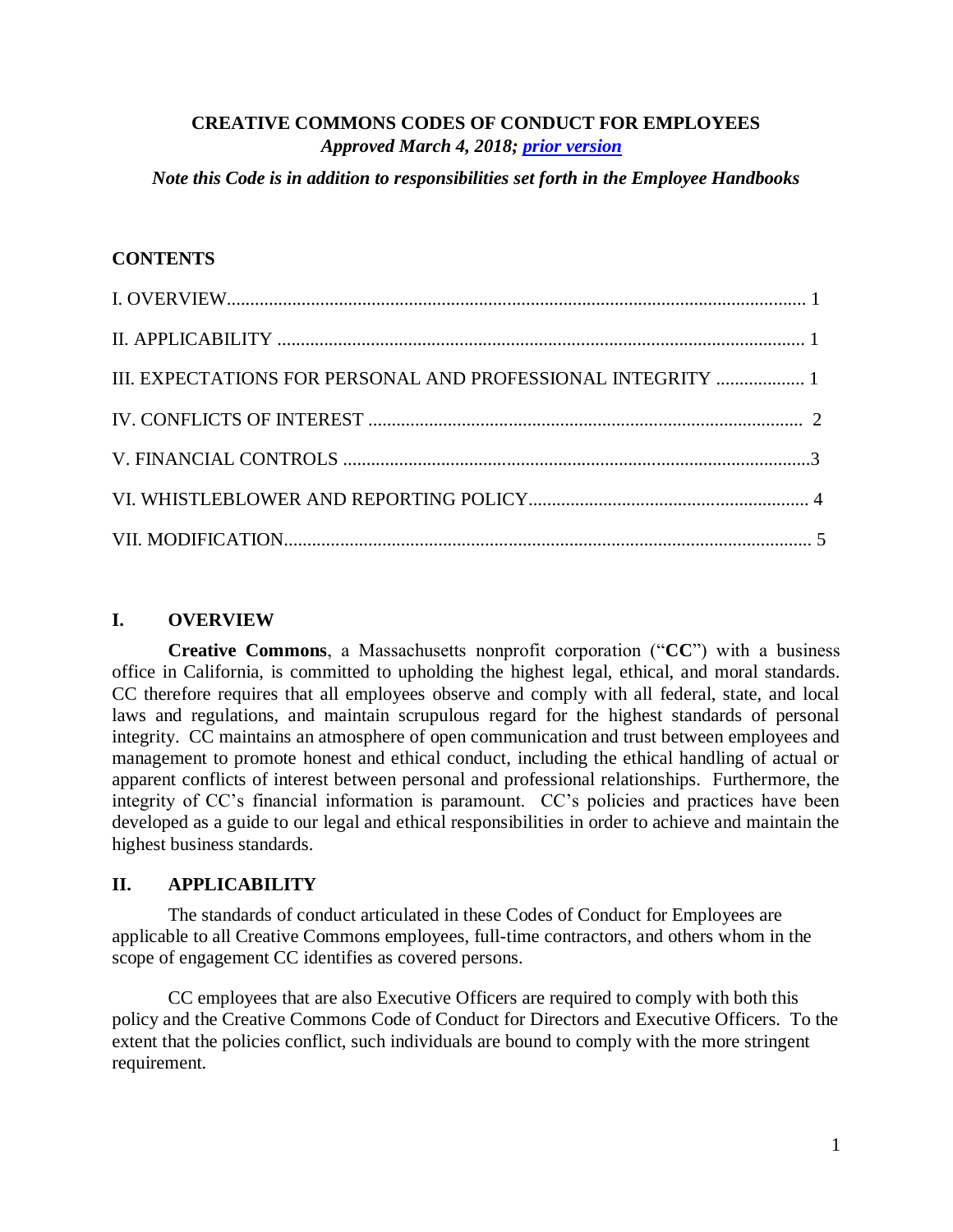### **CREATIVE COMMONS CODES OF CONDUCT FOR EMPLOYEES** *Approved March 4, 2018; [prior version](https://teamspace.creativecommons.org/img_auth.php/f/ff/2015Sept1USemployeehandbook.pdf)*

*Note this Code is in addition to responsibilities set forth in the Employee Handbooks*

### **CONTENTS**

| III. EXPECTATIONS FOR PERSONAL AND PROFESSIONAL INTEGRITY  1 |  |
|--------------------------------------------------------------|--|
|                                                              |  |
|                                                              |  |
|                                                              |  |
|                                                              |  |

### **I. OVERVIEW**

**Creative Commons**, a Massachusetts nonprofit corporation ("**CC**") with a business office in California, is committed to upholding the highest legal, ethical, and moral standards. CC therefore requires that all employees observe and comply with all federal, state, and local laws and regulations, and maintain scrupulous regard for the highest standards of personal integrity. CC maintains an atmosphere of open communication and trust between employees and management to promote honest and ethical conduct, including the ethical handling of actual or apparent conflicts of interest between personal and professional relationships. Furthermore, the integrity of CC's financial information is paramount. CC's policies and practices have been developed as a guide to our legal and ethical responsibilities in order to achieve and maintain the highest business standards.

### **II. APPLICABILITY**

The standards of conduct articulated in these Codes of Conduct for Employees are applicable to all Creative Commons employees, full-time contractors, and others whom in the scope of engagement CC identifies as covered persons.

CC employees that are also Executive Officers are required to comply with both this policy and the Creative Commons Code of Conduct for Directors and Executive Officers. To the extent that the policies conflict, such individuals are bound to comply with the more stringent requirement.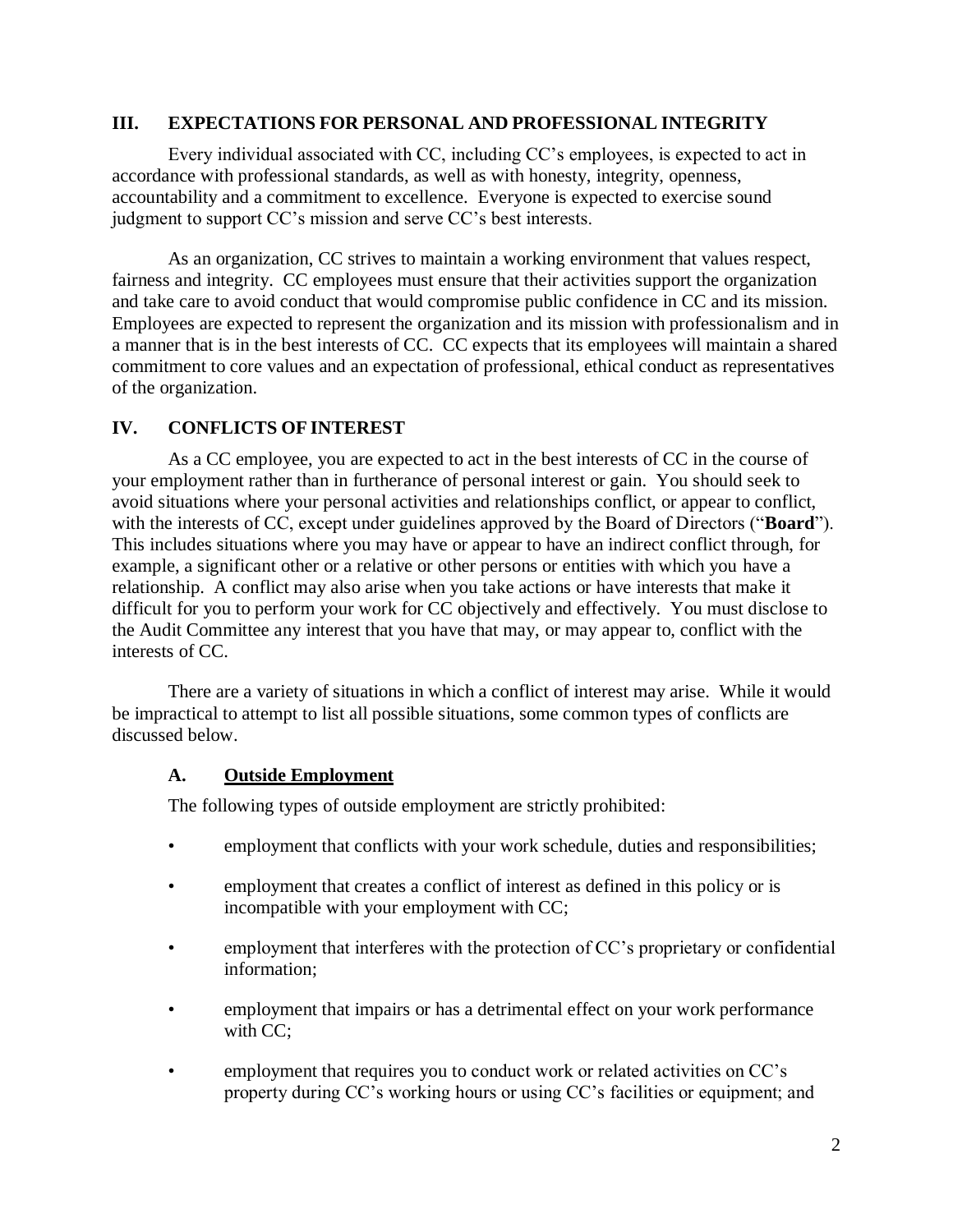#### **III. EXPECTATIONS FOR PERSONAL AND PROFESSIONAL INTEGRITY**

Every individual associated with CC, including CC's employees, is expected to act in accordance with professional standards, as well as with honesty, integrity, openness, accountability and a commitment to excellence. Everyone is expected to exercise sound judgment to support CC's mission and serve CC's best interests.

As an organization, CC strives to maintain a working environment that values respect, fairness and integrity. CC employees must ensure that their activities support the organization and take care to avoid conduct that would compromise public confidence in CC and its mission. Employees are expected to represent the organization and its mission with professionalism and in a manner that is in the best interests of CC. CC expects that its employees will maintain a shared commitment to core values and an expectation of professional, ethical conduct as representatives of the organization.

### **IV. CONFLICTS OF INTEREST**

As a CC employee, you are expected to act in the best interests of CC in the course of your employment rather than in furtherance of personal interest or gain. You should seek to avoid situations where your personal activities and relationships conflict, or appear to conflict, with the interests of CC, except under guidelines approved by the Board of Directors ("**Board**"). This includes situations where you may have or appear to have an indirect conflict through, for example, a significant other or a relative or other persons or entities with which you have a relationship. A conflict may also arise when you take actions or have interests that make it difficult for you to perform your work for CC objectively and effectively. You must disclose to the Audit Committee any interest that you have that may, or may appear to, conflict with the interests of CC.

There are a variety of situations in which a conflict of interest may arise. While it would be impractical to attempt to list all possible situations, some common types of conflicts are discussed below.

### **A. Outside Employment**

The following types of outside employment are strictly prohibited:

- employment that conflicts with your work schedule, duties and responsibilities;
- employment that creates a conflict of interest as defined in this policy or is incompatible with your employment with CC;
- employment that interferes with the protection of CC's proprietary or confidential information;
- employment that impairs or has a detrimental effect on your work performance with CC:
- employment that requires you to conduct work or related activities on CC's property during CC's working hours or using CC's facilities or equipment; and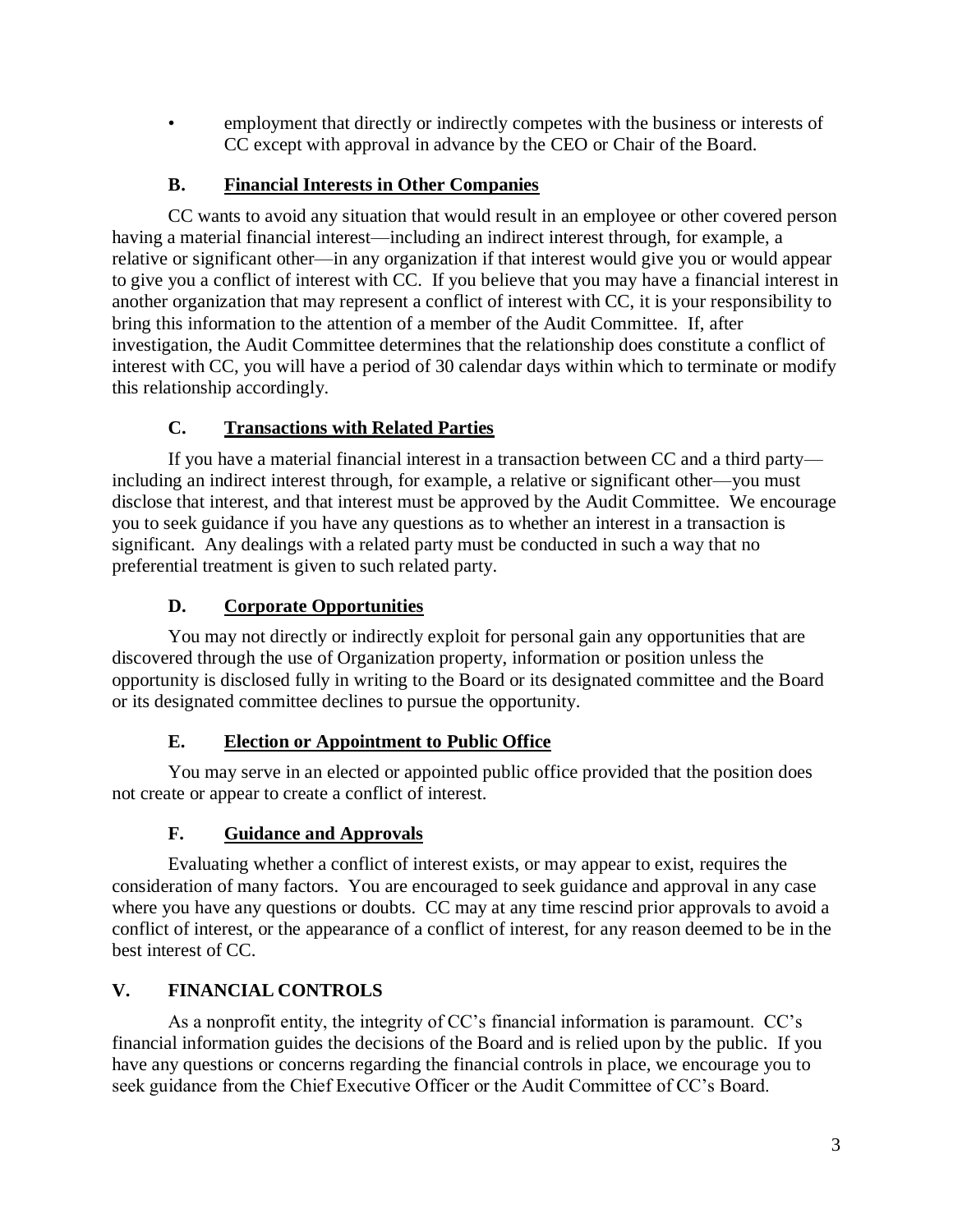• employment that directly or indirectly competes with the business or interests of CC except with approval in advance by the CEO or Chair of the Board.

## **B. Financial Interests in Other Companies**

CC wants to avoid any situation that would result in an employee or other covered person having a material financial interest—including an indirect interest through, for example, a relative or significant other—in any organization if that interest would give you or would appear to give you a conflict of interest with CC. If you believe that you may have a financial interest in another organization that may represent a conflict of interest with CC, it is your responsibility to bring this information to the attention of a member of the Audit Committee. If, after investigation, the Audit Committee determines that the relationship does constitute a conflict of interest with CC, you will have a period of 30 calendar days within which to terminate or modify this relationship accordingly.

# **C. Transactions with Related Parties**

If you have a material financial interest in a transaction between CC and a third party including an indirect interest through, for example, a relative or significant other—you must disclose that interest, and that interest must be approved by the Audit Committee. We encourage you to seek guidance if you have any questions as to whether an interest in a transaction is significant. Any dealings with a related party must be conducted in such a way that no preferential treatment is given to such related party.

## **D. Corporate Opportunities**

You may not directly or indirectly exploit for personal gain any opportunities that are discovered through the use of Organization property, information or position unless the opportunity is disclosed fully in writing to the Board or its designated committee and the Board or its designated committee declines to pursue the opportunity.

## **E. Election or Appointment to Public Office**

You may serve in an elected or appointed public office provided that the position does not create or appear to create a conflict of interest.

# **F. Guidance and Approvals**

Evaluating whether a conflict of interest exists, or may appear to exist, requires the consideration of many factors. You are encouraged to seek guidance and approval in any case where you have any questions or doubts. CC may at any time rescind prior approvals to avoid a conflict of interest, or the appearance of a conflict of interest, for any reason deemed to be in the best interest of CC.

# **V. FINANCIAL CONTROLS**

As a nonprofit entity, the integrity of CC's financial information is paramount. CC's financial information guides the decisions of the Board and is relied upon by the public. If you have any questions or concerns regarding the financial controls in place, we encourage you to seek guidance from the Chief Executive Officer or the Audit Committee of CC's Board.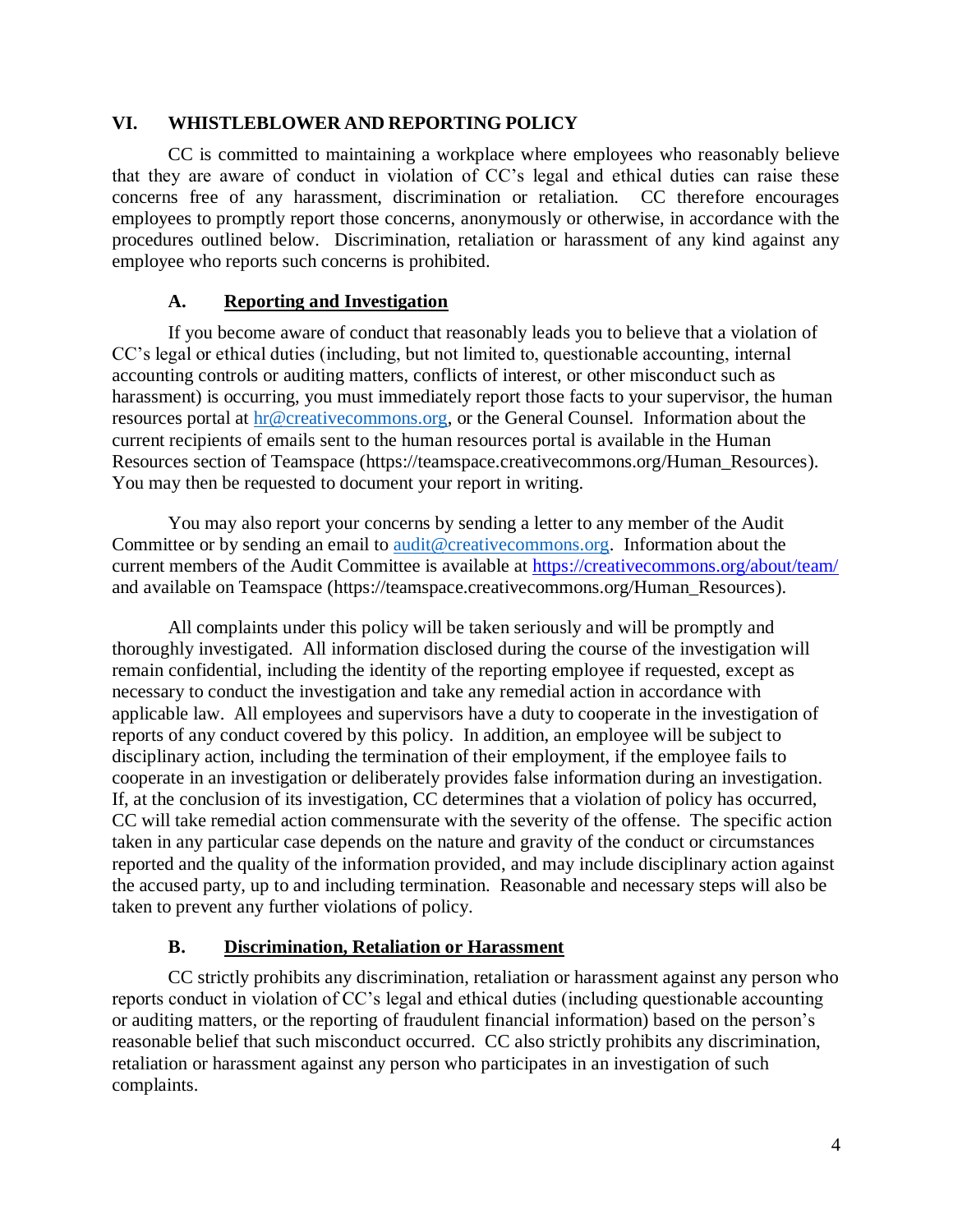#### **VI. WHISTLEBLOWER AND REPORTING POLICY**

CC is committed to maintaining a workplace where employees who reasonably believe that they are aware of conduct in violation of CC's legal and ethical duties can raise these concerns free of any harassment, discrimination or retaliation. CC therefore encourages employees to promptly report those concerns, anonymously or otherwise, in accordance with the procedures outlined below. Discrimination, retaliation or harassment of any kind against any employee who reports such concerns is prohibited.

### **A. Reporting and Investigation**

If you become aware of conduct that reasonably leads you to believe that a violation of CC's legal or ethical duties (including, but not limited to, questionable accounting, internal accounting controls or auditing matters, conflicts of interest, or other misconduct such as harassment) is occurring, you must immediately report those facts to your supervisor, the human resources portal at [hr@creativecommons.org,](mailto:hr@creativecommons.org) or the General Counsel. Information about the current recipients of emails sent to the human resources portal is available in the Human Resources section of Teamspace (https://teamspace.creativecommons.org/Human\_Resources). You may then be requested to document your report in writing.

You may also report your concerns by sending a letter to any member of the Audit Committee or by sending an email to [audit@creativecommons.org.](mailto:audit@creativecommons.org) Information about the current members of the Audit Committee is available at<https://creativecommons.org/about/team/> and available on Teamspace (https://teamspace.creativecommons.org/Human\_Resources).

All complaints under this policy will be taken seriously and will be promptly and thoroughly investigated. All information disclosed during the course of the investigation will remain confidential, including the identity of the reporting employee if requested, except as necessary to conduct the investigation and take any remedial action in accordance with applicable law. All employees and supervisors have a duty to cooperate in the investigation of reports of any conduct covered by this policy. In addition, an employee will be subject to disciplinary action, including the termination of their employment, if the employee fails to cooperate in an investigation or deliberately provides false information during an investigation. If, at the conclusion of its investigation, CC determines that a violation of policy has occurred, CC will take remedial action commensurate with the severity of the offense. The specific action taken in any particular case depends on the nature and gravity of the conduct or circumstances reported and the quality of the information provided, and may include disciplinary action against the accused party, up to and including termination. Reasonable and necessary steps will also be taken to prevent any further violations of policy.

### **B. Discrimination, Retaliation or Harassment**

CC strictly prohibits any discrimination, retaliation or harassment against any person who reports conduct in violation of CC's legal and ethical duties (including questionable accounting or auditing matters, or the reporting of fraudulent financial information) based on the person's reasonable belief that such misconduct occurred. CC also strictly prohibits any discrimination, retaliation or harassment against any person who participates in an investigation of such complaints.